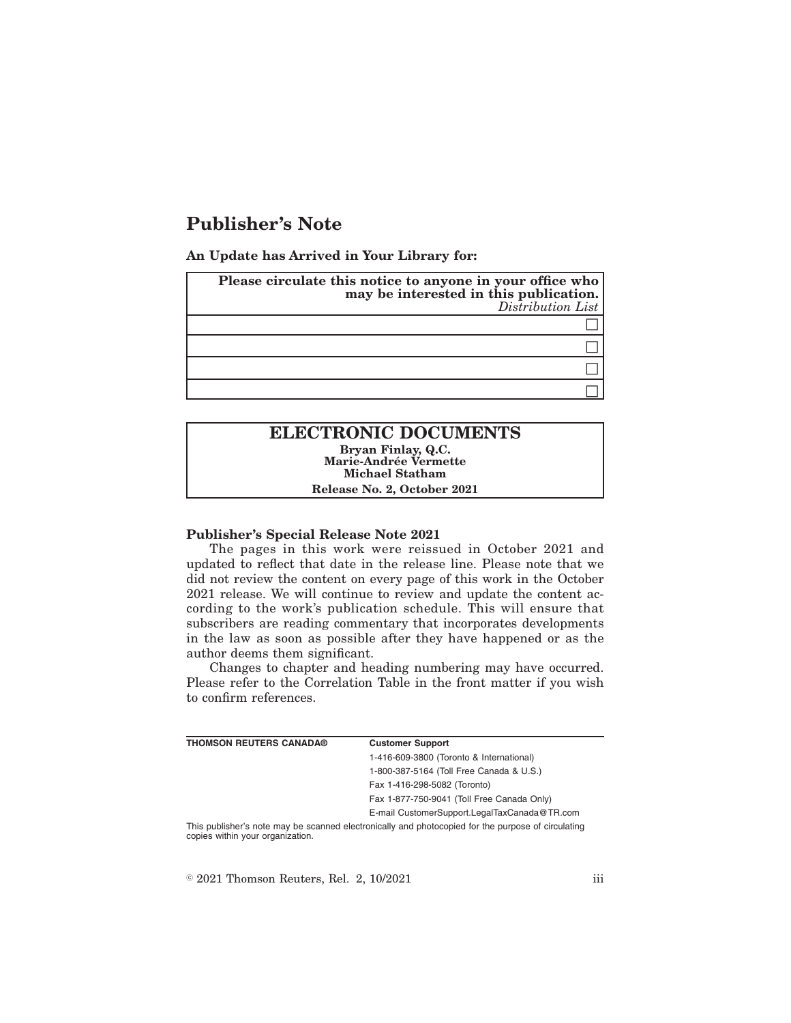# **Publisher's Note**

**An Update has Arrived in Your Library for:**

| Please circulate this notice to anyone in your office who<br>may be interested in this publication.<br>Distribution List |
|--------------------------------------------------------------------------------------------------------------------------|
|                                                                                                                          |
|                                                                                                                          |
|                                                                                                                          |
|                                                                                                                          |

# **ELECTRONIC DOCUMENTS Bryan Finlay, Q.C. Marie-Andrée Vermette Michael Statham Release No. 2, October 2021**

#### **Publisher's Special Release Note 2021**

The pages in this work were reissued in October 2021 and updated to reflect that date in the release line. Please note that we did not review the content on every page of this work in the October 2021 release. We will continue to review and update the content according to the work's publication schedule. This will ensure that subscribers are reading commentary that incorporates developments in the law as soon as possible after they have happened or as the author deems them significant.

Changes to chapter and heading numbering may have occurred. Please refer to the Correlation Table in the front matter if you wish to confirm references.

| <b>THOMSON REUTERS CANADA®</b> | <b>Customer Support</b>                      |
|--------------------------------|----------------------------------------------|
|                                | 1-416-609-3800 (Toronto & International)     |
|                                | 1-800-387-5164 (Toll Free Canada & U.S.)     |
|                                | Fax 1-416-298-5082 (Toronto)                 |
|                                | Fax 1-877-750-9041 (Toll Free Canada Only)   |
|                                | E-mail CustomerSupport.LegalTaxCanada@TR.com |

This publisher's note may be scanned electronically and photocopied for the purpose of circulating copies within your organization.

 $\textdegree$  2021 Thomson Reuters, Rel. 2, 10/2021 iii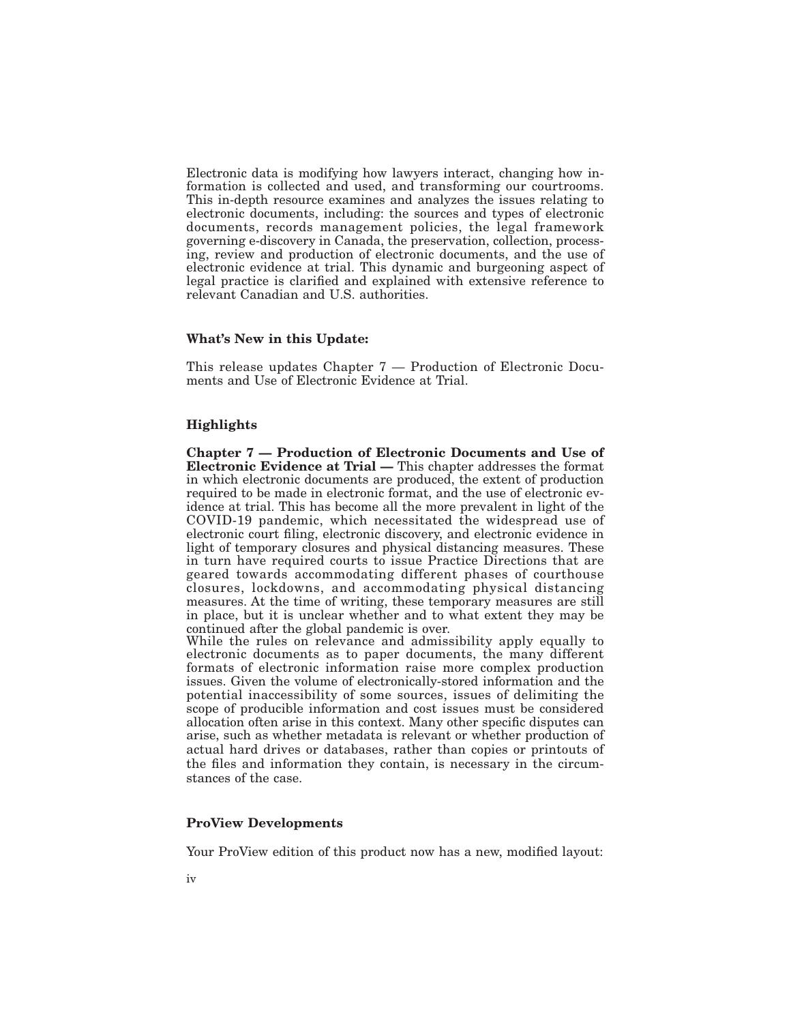Electronic data is modifying how lawyers interact, changing how information is collected and used, and transforming our courtrooms. This in-depth resource examines and analyzes the issues relating to electronic documents, including: the sources and types of electronic documents, records management policies, the legal framework governing e-discovery in Canada, the preservation, collection, processing, review and production of electronic documents, and the use of electronic evidence at trial. This dynamic and burgeoning aspect of legal practice is clarified and explained with extensive reference to relevant Canadian and U.S. authorities.

#### **What's New in this Update:**

This release updates Chapter 7 — Production of Electronic Documents and Use of Electronic Evidence at Trial.

# **Highlights**

**Chapter 7 — Production of Electronic Documents and Use of Electronic Evidence at Trial —** This chapter addresses the format in which electronic documents are produced, the extent of production required to be made in electronic format, and the use of electronic evidence at trial. This has become all the more prevalent in light of the COVID-19 pandemic, which necessitated the widespread use of electronic court filing, electronic discovery, and electronic evidence in light of temporary closures and physical distancing measures. These in turn have required courts to issue Practice Directions that are geared towards accommodating different phases of courthouse closures, lockdowns, and accommodating physical distancing measures. At the time of writing, these temporary measures are still in place, but it is unclear whether and to what extent they may be continued after the global pandemic is over.

While the rules on relevance and admissibility apply equally to electronic documents as to paper documents, the many different formats of electronic information raise more complex production issues. Given the volume of electronically-stored information and the potential inaccessibility of some sources, issues of delimiting the scope of producible information and cost issues must be considered allocation often arise in this context. Many other specific disputes can arise, such as whether metadata is relevant or whether production of actual hard drives or databases, rather than copies or printouts of the files and information they contain, is necessary in the circumstances of the case.

# **ProView Developments**

Your ProView edition of this product now has a new, modified layout: